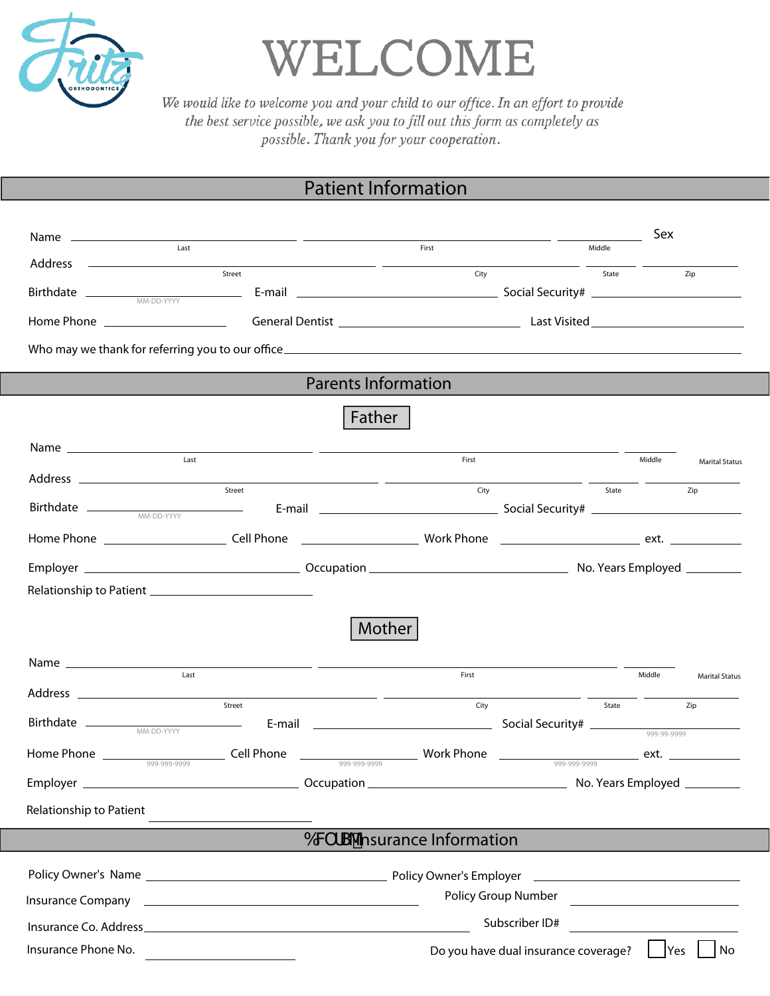

WELCOME

We would like to welcome you and your child to our office. In an effort to provide the best service possible, we ask you to fill out this form as completely as possible. Thank you for your cooperation.

## Patient Information

|                                                                                                                                                                                                                                                                                                                                                                                                                                                                                                                           |                                                                                                                                                                                                                                                                      |                                                            |                                      |        | Sex    |                       |  |
|---------------------------------------------------------------------------------------------------------------------------------------------------------------------------------------------------------------------------------------------------------------------------------------------------------------------------------------------------------------------------------------------------------------------------------------------------------------------------------------------------------------------------|----------------------------------------------------------------------------------------------------------------------------------------------------------------------------------------------------------------------------------------------------------------------|------------------------------------------------------------|--------------------------------------|--------|--------|-----------------------|--|
| Last                                                                                                                                                                                                                                                                                                                                                                                                                                                                                                                      |                                                                                                                                                                                                                                                                      | First                                                      |                                      | Middle |        |                       |  |
|                                                                                                                                                                                                                                                                                                                                                                                                                                                                                                                           | Street                                                                                                                                                                                                                                                               | City                                                       |                                      | State  |        | Zip                   |  |
|                                                                                                                                                                                                                                                                                                                                                                                                                                                                                                                           |                                                                                                                                                                                                                                                                      |                                                            |                                      |        |        |                       |  |
|                                                                                                                                                                                                                                                                                                                                                                                                                                                                                                                           |                                                                                                                                                                                                                                                                      |                                                            |                                      |        |        |                       |  |
|                                                                                                                                                                                                                                                                                                                                                                                                                                                                                                                           |                                                                                                                                                                                                                                                                      |                                                            |                                      |        |        |                       |  |
|                                                                                                                                                                                                                                                                                                                                                                                                                                                                                                                           |                                                                                                                                                                                                                                                                      |                                                            |                                      |        |        |                       |  |
|                                                                                                                                                                                                                                                                                                                                                                                                                                                                                                                           |                                                                                                                                                                                                                                                                      |                                                            |                                      |        |        |                       |  |
| <b>Parents Information</b>                                                                                                                                                                                                                                                                                                                                                                                                                                                                                                |                                                                                                                                                                                                                                                                      |                                                            |                                      |        |        |                       |  |
|                                                                                                                                                                                                                                                                                                                                                                                                                                                                                                                           | Father                                                                                                                                                                                                                                                               |                                                            |                                      |        |        |                       |  |
| Last                                                                                                                                                                                                                                                                                                                                                                                                                                                                                                                      | <u> 1989 - Johann Harry Harry Barnett, amerikan bisa di sebagai pertama dan pertama dan pertama dan pertama dan </u>                                                                                                                                                 | First                                                      |                                      |        | Middle |                       |  |
|                                                                                                                                                                                                                                                                                                                                                                                                                                                                                                                           |                                                                                                                                                                                                                                                                      |                                                            |                                      |        |        | <b>Marital Status</b> |  |
|                                                                                                                                                                                                                                                                                                                                                                                                                                                                                                                           | Street                                                                                                                                                                                                                                                               | City                                                       |                                      |        | State  | Zip                   |  |
|                                                                                                                                                                                                                                                                                                                                                                                                                                                                                                                           |                                                                                                                                                                                                                                                                      |                                                            |                                      |        |        |                       |  |
|                                                                                                                                                                                                                                                                                                                                                                                                                                                                                                                           |                                                                                                                                                                                                                                                                      |                                                            |                                      |        |        |                       |  |
|                                                                                                                                                                                                                                                                                                                                                                                                                                                                                                                           |                                                                                                                                                                                                                                                                      |                                                            |                                      |        |        |                       |  |
|                                                                                                                                                                                                                                                                                                                                                                                                                                                                                                                           |                                                                                                                                                                                                                                                                      |                                                            |                                      |        |        |                       |  |
| <b>Mother</b>                                                                                                                                                                                                                                                                                                                                                                                                                                                                                                             |                                                                                                                                                                                                                                                                      |                                                            |                                      |        |        |                       |  |
| $\begin{tabular}{c} Name & \textbf{\textcolor{red}{\textbf{1}}\textcolor{red}{\textbf{1}}\textcolor{red}{\textbf{1}}\textcolor{red}{\textbf{2}}\textcolor{red}{\textbf{2}}\textcolor{red}{\textbf{2}}\textcolor{red}{\textbf{1}}\textcolor{red}{\textbf{3}}\textcolor{red}{\textbf{4}}\textcolor{red}{\textbf{5}}\textcolor{red}{\textbf{5}}\textcolor{red}{\textbf{1}}\textcolor{red}{\textbf{2}}\textcolor{red}{\textbf{1}}\textcolor{red}{\textbf{1}}\textcolor{red}{\textbf{2}}\textcolor{red}{\textbf{1}}\textcolor$ |                                                                                                                                                                                                                                                                      | First                                                      |                                      |        | Middle | <b>Marital Status</b> |  |
|                                                                                                                                                                                                                                                                                                                                                                                                                                                                                                                           | Street                                                                                                                                                                                                                                                               | City                                                       |                                      | State  |        |                       |  |
|                                                                                                                                                                                                                                                                                                                                                                                                                                                                                                                           |                                                                                                                                                                                                                                                                      |                                                            |                                      |        |        | Zip                   |  |
|                                                                                                                                                                                                                                                                                                                                                                                                                                                                                                                           |                                                                                                                                                                                                                                                                      |                                                            |                                      |        |        |                       |  |
|                                                                                                                                                                                                                                                                                                                                                                                                                                                                                                                           |                                                                                                                                                                                                                                                                      | $\frac{1}{\sqrt{1-\frac{999-999-9999}{999-999-9999}}$ ext. |                                      |        |        |                       |  |
|                                                                                                                                                                                                                                                                                                                                                                                                                                                                                                                           |                                                                                                                                                                                                                                                                      |                                                            |                                      |        |        |                       |  |
| Relationship to Patient                                                                                                                                                                                                                                                                                                                                                                                                                                                                                                   |                                                                                                                                                                                                                                                                      |                                                            |                                      |        |        |                       |  |
| 6WfS <sup>1</sup> nsurance Information                                                                                                                                                                                                                                                                                                                                                                                                                                                                                    |                                                                                                                                                                                                                                                                      |                                                            |                                      |        |        |                       |  |
| Policy Owner's Employer<br><u> 1990 - Johann Barn, amerikansk politiker (</u>                                                                                                                                                                                                                                                                                                                                                                                                                                             |                                                                                                                                                                                                                                                                      |                                                            |                                      |        |        |                       |  |
| Insurance Company                                                                                                                                                                                                                                                                                                                                                                                                                                                                                                         | Policy Group Number<br><u> 1989 - Jan Stein Stein Stein Stein Stein Stein Stein Stein Stein Stein Stein Stein Stein Stein Stein Stein S</u><br><u> 1989 - Johann Stoff, deutscher Stoff, der Stoff, der Stoff, der Stoff, der Stoff, der Stoff, der Stoff, der S</u> |                                                            |                                      |        |        |                       |  |
|                                                                                                                                                                                                                                                                                                                                                                                                                                                                                                                           | Subscriber ID#                                                                                                                                                                                                                                                       |                                                            |                                      |        |        |                       |  |
|                                                                                                                                                                                                                                                                                                                                                                                                                                                                                                                           |                                                                                                                                                                                                                                                                      |                                                            |                                      |        |        |                       |  |
| Insurance Phone No.                                                                                                                                                                                                                                                                                                                                                                                                                                                                                                       |                                                                                                                                                                                                                                                                      |                                                            | Do you have dual insurance coverage? |        | Yes    | No                    |  |